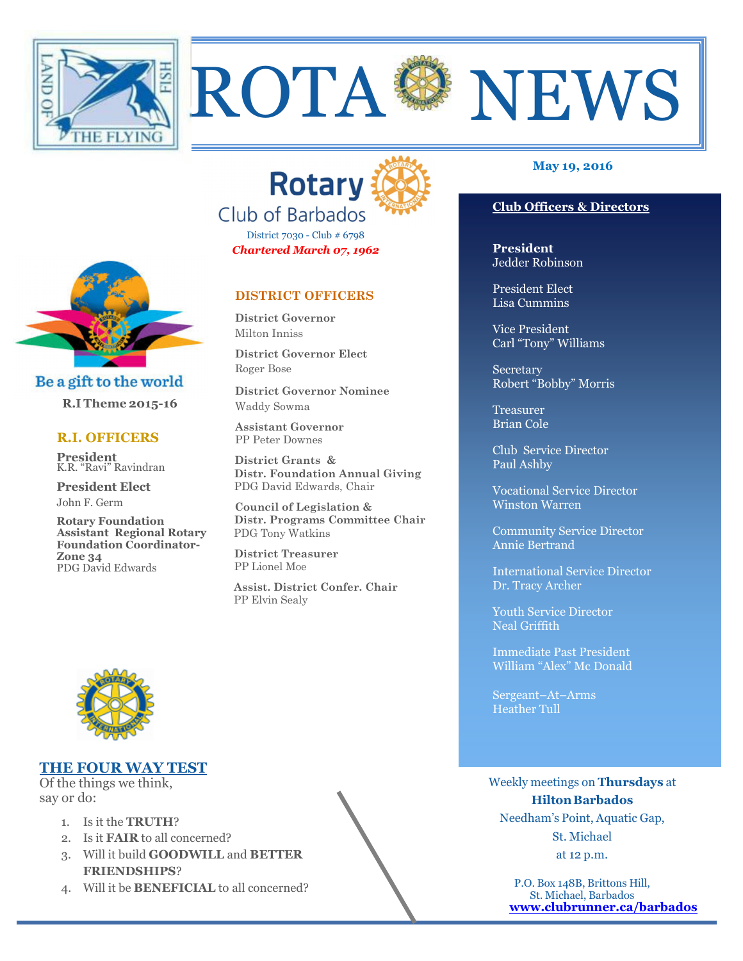



ROTA <sup>&</sup> NEWS

District 7030 - Club # 6798 *Chartered March 07, 1962* 

# **DISTRICT OFFICERS**

**District Governor** Milton Inniss

**District Governor Elect** Roger Bose

**District Governor Nominee**  Waddy Sowma

**Assistant Governor**  PP Peter Downes

 **District Grants & Distr. Foundation Annual Giving** PDG David Edwards, Chair

 **Council of Legislation & Distr. Programs Committee Chair** PDG Tony Watkins

 **District Treasurer**  PP Lionel Moe

 **Assist. District Confer. Chair**  PP Elvin Sealy

## **May 19, 2016**

## **Club Officers & Directors**

**President** Jedder Robinson

President Elect Lisa Cummins

Vice President Carl "Tony" Williams

**Secretary** Robert "Bobby" Morris

**Treasurer** Brian Cole

Club Service Director Paul Ashby

Vocational Service Director Winston Warren

Community Service Director Annie Bertrand

International Service Director Dr. Tracy Archer

Youth Service Director Neal Griffith

Immediate Past President William "Alex" Mc Donald

Sergeant–At–Arms Heather Tull

Weekly meetings on **Thursdays** at **Hilton Barbados** Needham's Point, Aquatic Gap, St. Michael

at 12 p.m.

P.O. Box 148B, Brittons Hill, St. Michael, Barbados **www.clubrunner.ca/barbados**



Be a gift to the world

 **R.I Theme 2015-16** 

#### **R.I. OFFICERS**

**President** K.R. "Ravi" Ravindran

**President Elect** John F. Germ

**Rotary Foundation Assistant Regional Rotary Foundation Coordinator-Zone 34**  PDG David Edwards

# **THE FOUR WAY TEST**

Of the things we think, say or do:

- 1. Is it the **TRUTH**?
- 2. Is it **FAIR** to all concerned?
- 3. Will it build **GOODWILL** and **BETTER FRIENDSHIPS**?
- 4. Will it be **BENEFICIAL** to all concerned?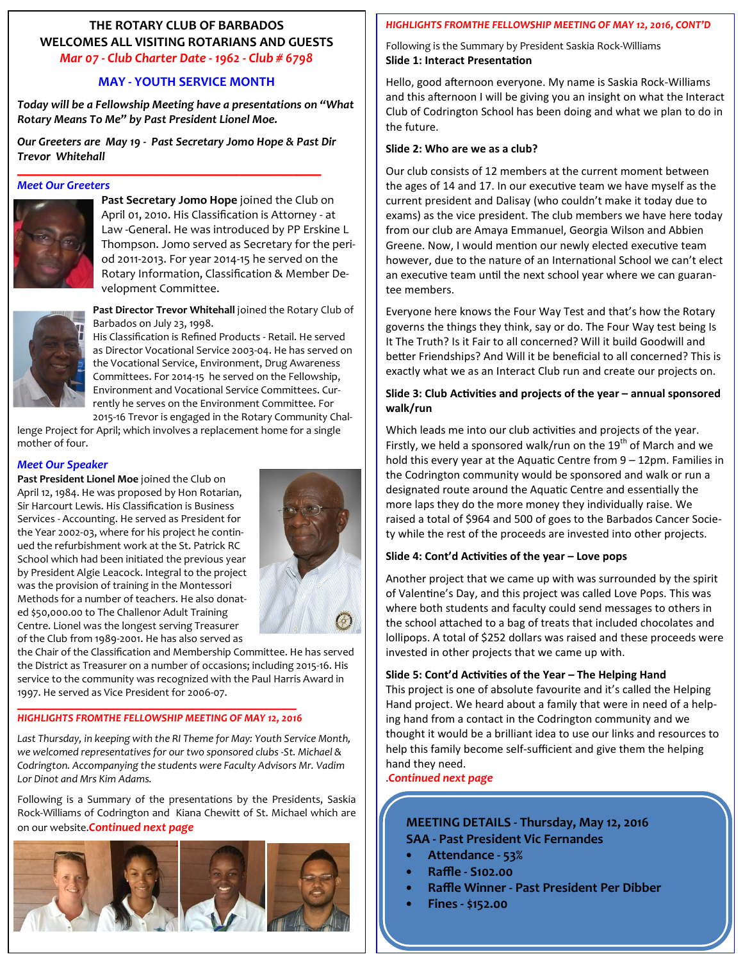# **THE ROTARY CLUB OF BARBADOS WELCOMES ALL VISITING ROTARIANS AND GUESTS**  *Mar 07 - Club Charter Date - 1962 - Club # 6798*

# **MAY - YOUTH SERVICE MONTH**

*Today will be a Fellowship Meeting have a presentations on "What Rotary Means To Me" by Past President Lionel Moe.* 

*Our Greeters are May 19 - Past Secretary Jomo Hope & Past Dir Trevor Whitehall* 

\_\_\_\_\_\_\_\_\_\_\_\_\_\_\_\_\_\_\_\_\_\_\_\_\_\_\_\_\_\_\_\_\_\_\_\_\_\_\_\_\_\_\_\_\_\_\_\_\_\_

#### *Meet Our Greeters*



**Past Secretary Jomo Hope** joined the Club on April 01, 2010. His Classification is Attorney - at Law -General. He was introduced by PP Erskine L Thompson. Jomo served as Secretary for the period 2011-2013. For year 2014-15 he served on the Rotary Information, Classification & Member Development Committee.



**Past Director Trevor Whitehall** joined the Rotary Club of Barbados on July 23, 1998.

His Classification is Refined Products - Retail. He served as Director Vocational Service 2003-04. He has served on the Vocational Service, Environment, Drug Awareness Committees. For 2014-15 he served on the Fellowship, Environment and Vocational Service Committees. Currently he serves on the Environment Committee. For 2015-16 Trevor is engaged in the Rotary Community Chal-

lenge Project for April; which involves a replacement home for a single mother of four.

## *Meet Our Speaker*

**Past President Lionel Moe** joined the Club on April 12, 1984. He was proposed by Hon Rotarian, Sir Harcourt Lewis. His Classification is Business Services - Accounting. He served as President for the Year 2002-03, where for his project he continued the refurbishment work at the St. Patrick RC School which had been initiated the previous year by President Algie Leacock. Integral to the project was the provision of training in the Montessori Methods for a number of teachers. He also donated \$50,000.00 to The Challenor Adult Training Centre. Lionel was the longest serving Treasurer of the Club from 1989-2001. He has also served as



the Chair of the Classification and Membership Committee. He has served the District as Treasurer on a number of occasions; including 2015-16. His service to the community was recognized with the Paul Harris Award in 1997. He served as Vice President for 2006-07.

#### \_\_\_\_\_\_\_\_\_\_\_\_\_\_\_\_\_\_\_\_\_\_\_\_\_\_\_\_\_\_\_\_\_\_\_\_\_\_\_\_\_\_\_\_\_\_\_\_\_\_\_ *HIGHLIGHTS FROMTHE FELLOWSHIP MEETING OF MAY 12, 2016*

*Last Thursday, in keeping with the RI Theme for May: Youth Service Month, we welcomed representatives for our two sponsored clubs -St. Michael & Codrington. Accompanying the students were Faculty Advisors Mr. Vadim Lor Dinot and Mrs Kim Adams.* 

Following is a Summary of the presentations by the Presidents, Saskia Rock-Williams of Codrington and Kiana Chewitt of St. Michael which are on our website.*Continued next page*



# *HIGHLIGHTS FROMTHE FELLOWSHIP MEETING OF MAY 12, 2016, CONT'D*

Following is the Summary by President Saskia Rock-Williams **Slide 1: Interact Presentation** 

Hello, good afternoon everyone. My name is Saskia Rock-Williams and this afternoon I will be giving you an insight on what the Interact Club of Codrington School has been doing and what we plan to do in the future.

#### **Slide 2: Who are we as a club?**

Our club consists of 12 members at the current moment between the ages of 14 and 17. In our executive team we have myself as the current president and Dalisay (who couldn't make it today due to exams) as the vice president. The club members we have here today from our club are Amaya Emmanuel, Georgia Wilson and Abbien Greene. Now, I would mention our newly elected executive team however, due to the nature of an International School we can't elect an executive team until the next school year where we can guarantee members.

Everyone here knows the Four Way Test and that's how the Rotary governs the things they think, say or do. The Four Way test being Is It The Truth? Is it Fair to all concerned? Will it build Goodwill and better Friendships? And Will it be beneficial to all concerned? This is exactly what we as an Interact Club run and create our projects on.

## Slide 3: Club Activities and projects of the year - annual sponsored **walk/run**

Which leads me into our club activities and projects of the year. Firstly, we held a sponsored walk/run on the  $19^{th}$  of March and we hold this every year at the Aquatic Centre from  $9 - 12$ pm. Families in the Codrington community would be sponsored and walk or run a designated route around the Aquatic Centre and essentially the more laps they do the more money they individually raise. We raised a total of \$964 and 500 of goes to the Barbados Cancer Society while the rest of the proceeds are invested into other projects.

## Slide 4: Cont'd Activities of the year - Love pops

Another project that we came up with was surrounded by the spirit of Valentine's Day, and this project was called Love Pops. This was where both students and faculty could send messages to others in the school attached to a bag of treats that included chocolates and lollipops. A total of \$252 dollars was raised and these proceeds were invested in other projects that we came up with.

## Slide 5: Cont'd Activities of the Year - The Helping Hand

This project is one of absolute favourite and it's called the Helping Hand project. We heard about a family that were in need of a helping hand from a contact in the Codrington community and we thought it would be a brilliant idea to use our links and resources to help this family become self-sufficient and give them the helping hand they need.

.*Continued next page*

# **MEETING DETAILS - Thursday, May 12, 2016 SAA - Past President Vic Fernandes**

- **Attendance 53%**
- **Raffle S102.00**
- **Raffle Winner Past President Per Dibber**
- **Fines \$152.00**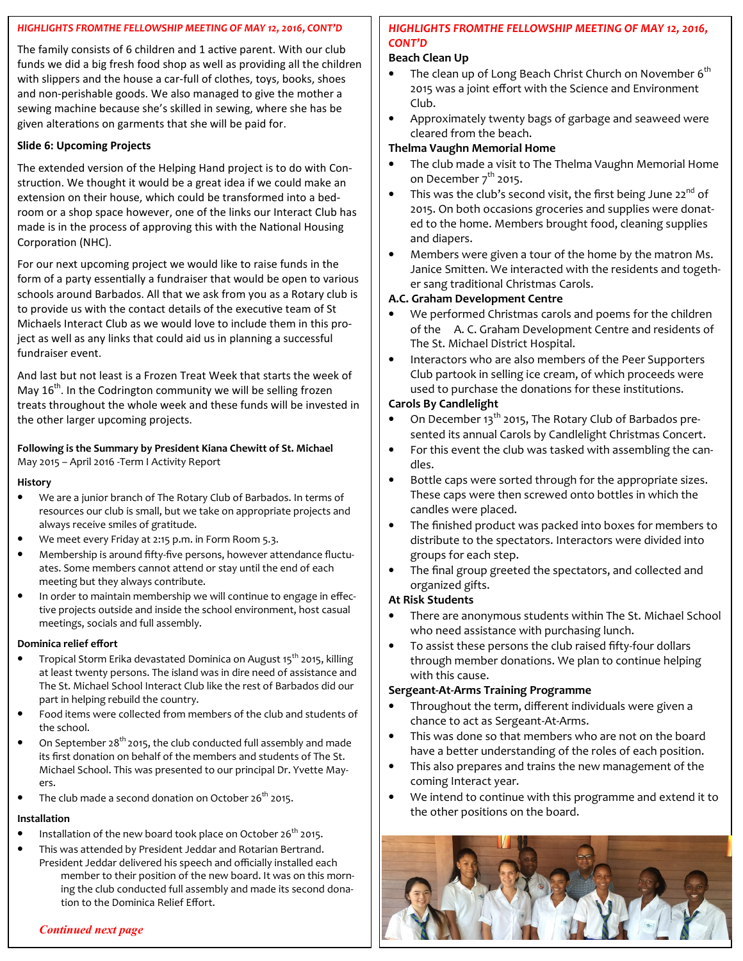## *HIGHLIGHTS FROMTHE FELLOWSHIP MEETING OF MAY 12, 2016, CONT'D*

The family consists of 6 children and 1 active parent. With our club funds we did a big fresh food shop as well as providing all the children with slippers and the house a car-full of clothes, toys, books, shoes and non-perishable goods. We also managed to give the mother a sewing machine because she's skilled in sewing, where she has be given alterations on garments that she will be paid for.

#### **Slide 6: Upcoming Projects**

The extended version of the Helping Hand project is to do with Construction. We thought it would be a great idea if we could make an extension on their house, which could be transformed into a bedroom or a shop space however, one of the links our Interact Club has made is in the process of approving this with the National Housing Corporation (NHC).

For our next upcoming project we would like to raise funds in the form of a party essentially a fundraiser that would be open to various schools around Barbados. All that we ask from you as a Rotary club is to provide us with the contact details of the executive team of St Michaels Interact Club as we would love to include them in this project as well as any links that could aid us in planning a successful fundraiser event.

And last but not least is a Frozen Treat Week that starts the week of May  $16<sup>th</sup>$ . In the Codrington community we will be selling frozen treats throughout the whole week and these funds will be invested in the other larger upcoming projects.

#### **Following is the Summary by President Kiana Chewitt of St. Michael**  May 2015 – April 2016 -Term I Activity Report

#### **History**

- We are a junior branch of The Rotary Club of Barbados. In terms of resources our club is small, but we take on appropriate projects and always receive smiles of gratitude.
- We meet every Friday at 2:15 p.m. in Form Room 5.3.
- Membership is around fifty-five persons, however attendance fluctuates. Some members cannot attend or stay until the end of each meeting but they always contribute.
- In order to maintain membership we will continue to engage in effective projects outside and inside the school environment, host casual meetings, socials and full assembly.

#### **Dominica relief effort**

- Tropical Storm Erika devastated Dominica on August 15<sup>th</sup> 2015, killing at least twenty persons. The island was in dire need of assistance and The St. Michael School Interact Club like the rest of Barbados did our part in helping rebuild the country.
- Food items were collected from members of the club and students of the school.
- On September  $28^{th}$  2015, the club conducted full assembly and made its first donation on behalf of the members and students of The St. Michael School. This was presented to our principal Dr. Yvette Mayers.
- The club made a second donation on October 26<sup>th</sup> 2015.

#### **Installation**

- Installation of the new board took place on October  $26^{th}$  2015.
- This was attended by President Jeddar and Rotarian Bertrand.
- President Jeddar delivered his speech and officially installed each member to their position of the new board. It was on this morning the club conducted full assembly and made its second donation to the Dominica Relief Effort.

## *HIGHLIGHTS FROMTHE FELLOWSHIP MEETING OF MAY 12, 2016, CONT'D*

#### **Beach Clean Up**

- The clean up of Long Beach Christ Church on November  $6<sup>th</sup>$ 2015 was a joint effort with the Science and Environment Club.
- Approximately twenty bags of garbage and seaweed were cleared from the beach.

## **Thelma Vaughn Memorial Home**

- The club made a visit to The Thelma Vaughn Memorial Home on December  $7<sup>th</sup>$  2015.
- This was the club's second visit, the first being June 22<sup>nd</sup> of 2015. On both occasions groceries and supplies were donat‐ ed to the home. Members brought food, cleaning supplies and diapers.
- Members were given a tour of the home by the matron Ms. Janice Smitten. We interacted with the residents and togeth‐ er sang traditional Christmas Carols.

## **A.C. Graham Development Centre**

- We performed Christmas carols and poems for the children of the A. C. Graham Development Centre and residents of The St. Michael District Hospital.
- Interactors who are also members of the Peer Supporters Club partook in selling ice cream, of which proceeds were used to purchase the donations for these institutions.

#### **Carols By Candlelight**

- On December 13<sup>th</sup> 2015, The Rotary Club of Barbados presented its annual Carols by Candlelight Christmas Concert.
- For this event the club was tasked with assembling the candles.
- Bottle caps were sorted through for the appropriate sizes. These caps were then screwed onto bottles in which the candles were placed.
- The finished product was packed into boxes for members to distribute to the spectators. Interactors were divided into groups for each step.
- The final group greeted the spectators, and collected and organized gifts.

#### **At Risk Students**

- There are anonymous students within The St. Michael School who need assistance with purchasing lunch.
- To assist these persons the club raised fifty‐four dollars through member donations. We plan to continue helping with this cause.

#### **Sergeant-At-Arms Training Programme**

- Throughout the term, different individuals were given a chance to act as Sergeant‐At‐Arms.
- This was done so that members who are not on the board have a better understanding of the roles of each position.
- This also prepares and trains the new management of the coming Interact year.
- We intend to continue with this programme and extend it to the other positions on the board.



#### *Continued next page*